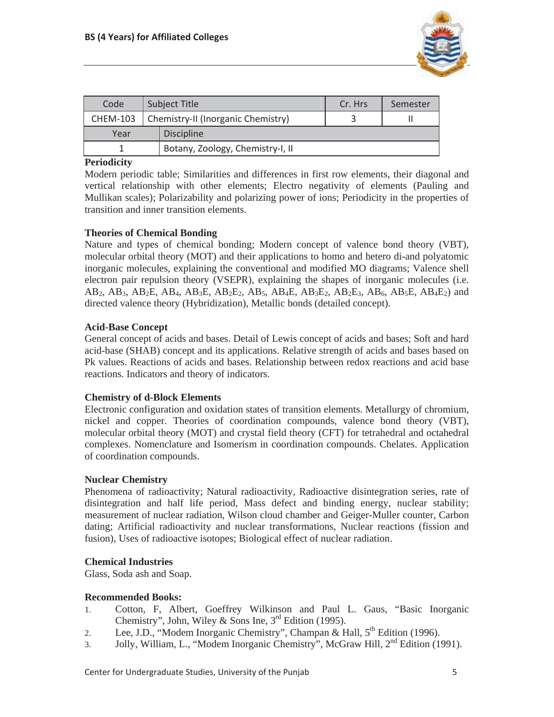

| Code            | <b>Subject Title</b> |                                    | Cr. Hrs | Semester |
|-----------------|----------------------|------------------------------------|---------|----------|
| <b>CHEM-103</b> |                      | Chemistry-II (Inorganic Chemistry) |         |          |
| Year            |                      | <b>Discipline</b>                  |         |          |
|                 |                      | Botany, Zoology, Chemistry-I, II   |         |          |

# **Periodicity**

Modern periodic table; Similarities and differences in first row elements, their diagonal and vertical relationship with other elements; Electro negativity of elements (Pauling and Mullikan scales); Polarizability and polarizing power of ions; Periodicity in the properties of transition and inner transition elements.

# **Theories of Chemical Bonding**

Nature and types of chemical bonding; Modern concept of valence bond theory (VBT), molecular orbital theory (MOT) and their applications to homo and hetero di-and polyatomic inorganic molecules, explaining the conventional and modified MO diagrams; Valence shell electron pair repulsion theory (VSEPR), explaining the shapes of inorganic molecules (i.e. AB<sub>2</sub>, AB<sub>3</sub>, AB<sub>2</sub>E, AB<sub>4</sub>, AB<sub>3</sub>E, AB<sub>2</sub>E<sub>2</sub>, AB<sub>5</sub>, AB<sub>4</sub>E, AB<sub>3</sub>E<sub>2</sub>, AB<sub>2</sub>E<sub>3</sub>, AB<sub>6</sub>, AB<sub>5</sub>E, AB<sub>4</sub>E<sub>2</sub>) and directed valence theory (Hybridization), Metallic bonds (detailed concept).

## **Acid-Base Concept**

General concept of acids and bases. Detail of Lewis concept of acids and bases; Soft and hard acid-base (SHAB) concept and its applications. Relative strength of acids and bases based on Pk values. Reactions of acids and bases. Relationship between redox reactions and acid base reactions. Indicators and theory of indicators.

# **Chemistry of d-Block Elements**

Electronic configuration and oxidation states of transition elements. Metallurgy of chromium, nickel and copper. Theories of coordination compounds, valence bond theory (VBT), molecular orbital theory (MOT) and crystal field theory (CFT) for tetrahedral and octahedral complexes. Nomenclature and Isomerism in coordination compounds. Chelates. Application of coordination compounds.

# **Nuclear Chemistry**

Phenomena of radioactivity; Natural radioactivity, Radioactive disintegration series, rate of disintegration and half life period, Mass defect and binding energy, nuclear stability; measurement of nuclear radiation, Wilson cloud chamber and Geiger-Muller counter, Carbon dating; Artificial radioactivity and nuclear transformations, Nuclear reactions (fission and fusion), Uses of radioactive isotopes; Biological effect of nuclear radiation.

# **Chemical Industries**

Glass, Soda ash and Soap.

# **Recommended Books:**

- 1. Cotton, F, Albert, Goeffrey Wilkinson and Paul L. Gaus, "Basic Inorganic Chemistry", John, Wiley & Sons Ine,  $3<sup>rd</sup>$  Edition (1995).
- 2. Lee, J.D., "Modem Inorganic Chemistry", Champan & Hall,  $5<sup>th</sup>$  Edition (1996).
- 3. Jolly, William, L., "Modem Inorganic Chemistry", McGraw Hill, 2<sup>nd</sup> Edition (1991).